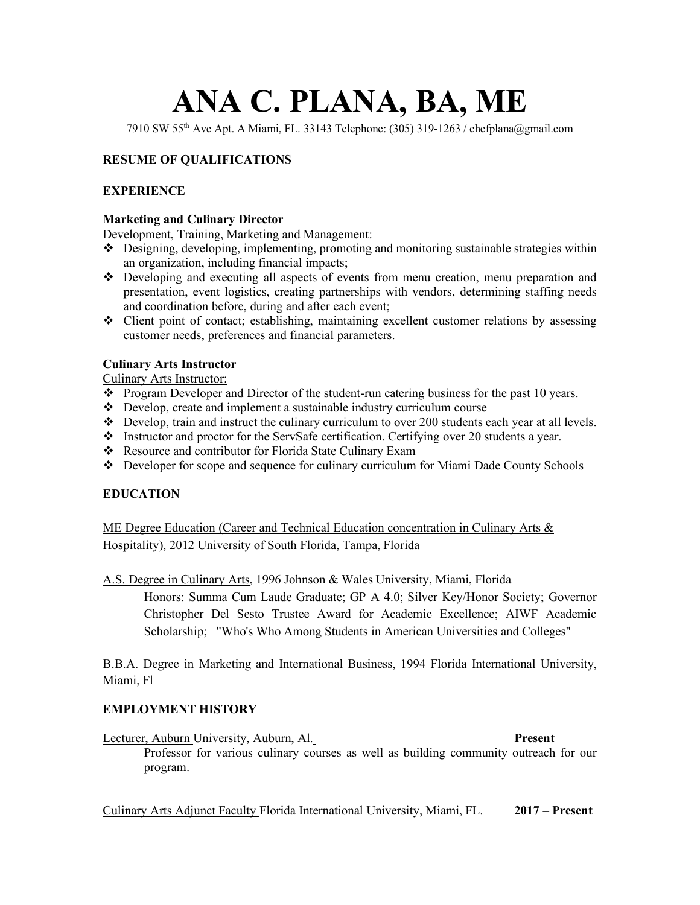# **ANA C. PLANA, BA, ME**

7910 SW 55th Ave Apt. A Miami, FL. 33143 Telephone: (305) 319-1263 / [chefplana@gmail.com](mailto:chefplana@gmail.com)

# **RESUME OF QUALIFICATIONS**

## **EXPERIENCE**

### **Marketing and Culinary Director**

Development, Training, Marketing and Management:

- • Designing, developing, implementing, promoting and monitoring sustainable strategies within an organization, including financial impacts;
- • Developing and executing all aspects of events from menu creation, menu preparation and presentation, event logistics, creating partnerships with vendors, determining staffing needs and coordination before, during and after each event;
- • Client point of contact; establishing, maintaining excellent customer relations by assessing customer needs, preferences and financial parameters.

### **Culinary Arts Instructor**

Culinary Arts Instructor:

- Program Developer and Director of the student-run catering business for the past 10 years.
- Develop, create and implement a sustainable industry curriculum course
- Develop, train and instruct the culinary curriculum to over 200 students each year at all levels.
- Instructor and proctor for the ServSafe certification. Certifying over 20 students a year.
- Resource and contributor for Florida State Culinary Exam
- Developer for scope and sequence for culinary curriculum for Miami Dade County Schools

## **EDUCATION**

ME Degree Education (Career and Technical Education concentration in Culinary Arts & Hospitality), 2012 University of South Florida, Tampa, Florida

A.S. Degree in Culinary Arts, 1996 Johnson & Wales University, Miami, Florida

Honors: Summa Cum Laude Graduate; GP A 4.0; Silver Key/Honor Society; Governor Christopher Del Sesto Trustee Award for Academic Excellence; AIWF Academic Scholarship; "Who's Who Among Students in American Universities and Colleges"

B.B.A. Degree in Marketing and International Business, 1994 Florida International University, Miami, Fl

### **EMPLOYMENT HISTORY**

 Lecturer, Auburn University, Auburn, Al. **Present**  Professor for various culinary courses as well as building community outreach for our program.

program. Culinary Arts Adjunct Faculty Florida International University, Miami, FL. **2017 – Present**